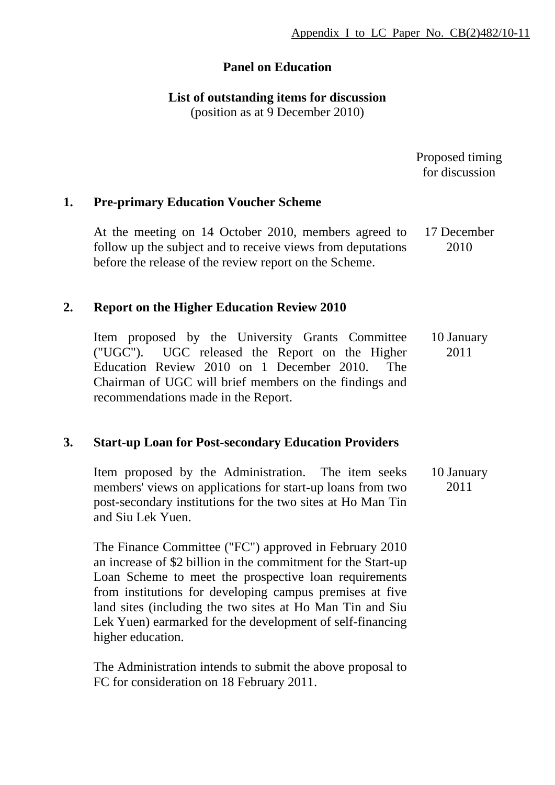# **Panel on Education**

## **List of outstanding items for discussion**

(position as at 9 December 2010)

| Proposed timing |
|-----------------|
| for discussion  |

# **1. Pre-primary Education Voucher Scheme**

At the meeting on 14 October 2010, members agreed to follow up the subject and to receive views from deputations before the release of the review report on the Scheme. 17 December 2010

#### **2. Report on the Higher Education Review 2010**

Item proposed by the University Grants Committee ("UGC"). UGC released the Report on the Higher Education Review 2010 on 1 December 2010. The Chairman of UGC will brief members on the findings and recommendations made in the Report. 10 January 2011

# **3. Start-up Loan for Post-secondary Education Providers**

Item proposed by the Administration. The item seeks members' views on applications for start-up loans from two post-secondary institutions for the two sites at Ho Man Tin and Siu Lek Yuen. 10 January 2011

The Finance Committee ("FC") approved in February 2010 an increase of \$2 billion in the commitment for the Start-up Loan Scheme to meet the prospective loan requirements from institutions for developing campus premises at five land sites (including the two sites at Ho Man Tin and Siu Lek Yuen) earmarked for the development of self-financing higher education.

The Administration intends to submit the above proposal to FC for consideration on 18 February 2011.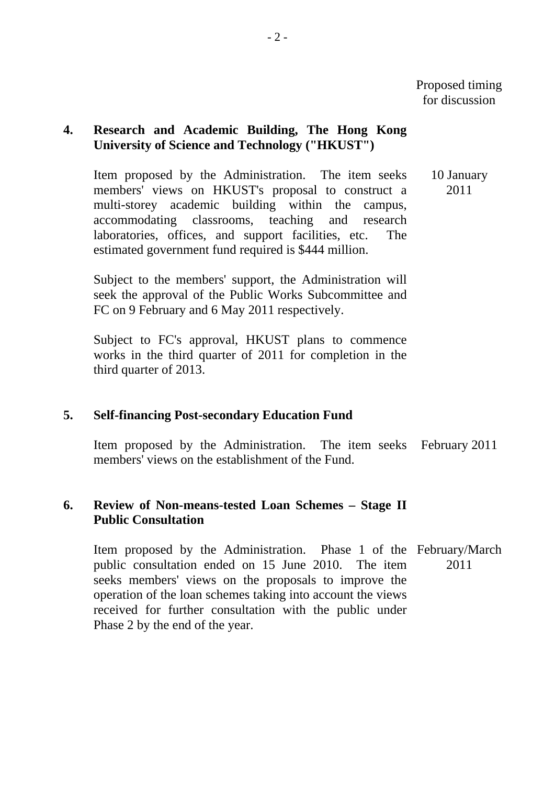# **4. Research and Academic Building, The Hong Kong University of Science and Technology ("HKUST")**

Item proposed by the Administration. The item seeks members' views on HKUST's proposal to construct a multi-storey academic building within the campus, accommodating classrooms, teaching and research laboratories, offices, and support facilities, etc. The estimated government fund required is \$444 million. 10 January 2011

Subject to the members' support, the Administration will seek the approval of the Public Works Subcommittee and FC on 9 February and 6 May 2011 respectively.

Subject to FC's approval, HKUST plans to commence works in the third quarter of 2011 for completion in the third quarter of 2013.

# **5. Self-financing Post-secondary Education Fund**

Item proposed by the Administration. The item seeks February 2011 members' views on the establishment of the Fund.

#### **6. Review of Non-means-tested Loan Schemes – Stage II Public Consultation**

Item proposed by the Administration. Phase 1 of the February/March public consultation ended on 15 June 2010. The item seeks members' views on the proposals to improve the operation of the loan schemes taking into account the views received for further consultation with the public under Phase 2 by the end of the year. 2011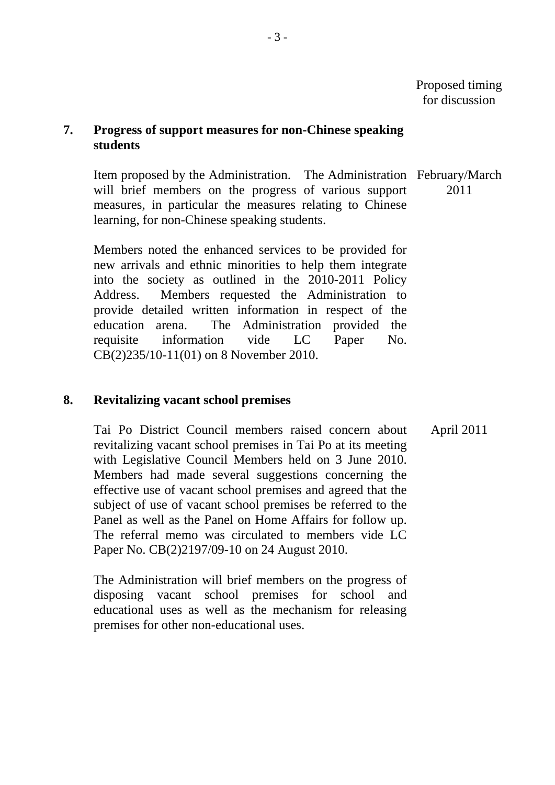## **7. Progress of support measures for non-Chinese speaking students**

Item proposed by the Administration. The Administration February/March will brief members on the progress of various support measures, in particular the measures relating to Chinese learning, for non-Chinese speaking students. 2011

Members noted the enhanced services to be provided for new arrivals and ethnic minorities to help them integrate into the society as outlined in the 2010-2011 Policy Address. Members requested the Administration to provide detailed written information in respect of the education arena. The Administration provided the requisite information vide LC Paper No. CB(2)235/10-11(01) on 8 November 2010.

#### **8. Revitalizing vacant school premises**

Tai Po District Council members raised concern about revitalizing vacant school premises in Tai Po at its meeting with Legislative Council Members held on 3 June 2010. Members had made several suggestions concerning the effective use of vacant school premises and agreed that the subject of use of vacant school premises be referred to the Panel as well as the Panel on Home Affairs for follow up. The referral memo was circulated to members vide LC Paper No. CB(2)2197/09-10 on 24 August 2010.

The Administration will brief members on the progress of disposing vacant school premises for school and educational uses as well as the mechanism for releasing premises for other non-educational uses.

April 2011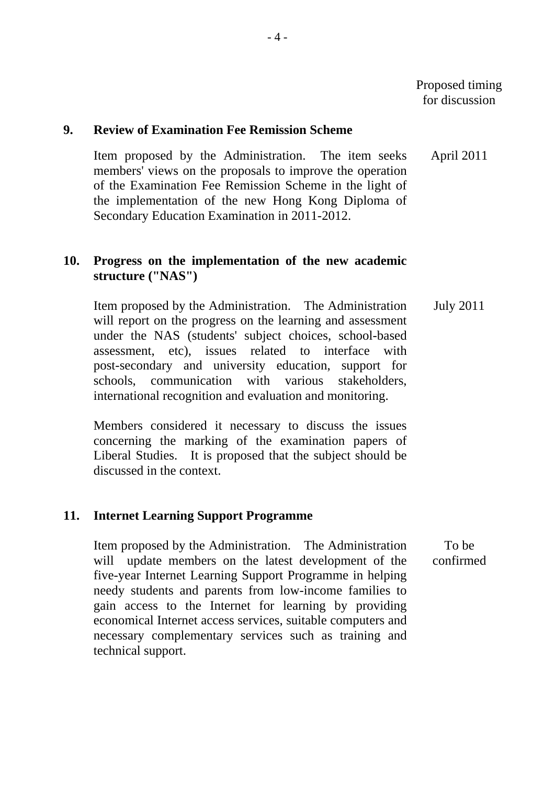#### **9. Review of Examination Fee Remission Scheme**

Item proposed by the Administration. The item seeks members' views on the proposals to improve the operation of the Examination Fee Remission Scheme in the light of the implementation of the new Hong Kong Diploma of Secondary Education Examination in 2011-2012. April 2011

# **10. Progress on the implementation of the new academic structure ("NAS")**

 Item proposed by the Administration. The Administration will report on the progress on the learning and assessment under the NAS (students' subject choices, school-based assessment, etc), issues related to interface with post-secondary and university education, support for schools, communication with various stakeholders, international recognition and evaluation and monitoring. July 2011

Members considered it necessary to discuss the issues concerning the marking of the examination papers of Liberal Studies. It is proposed that the subject should be discussed in the context.

# **11. Internet Learning Support Programme**

Item proposed by the Administration. The Administration will update members on the latest development of the five-year Internet Learning Support Programme in helping needy students and parents from low-income families to gain access to the Internet for learning by providing economical Internet access services, suitable computers and necessary complementary services such as training and technical support. To be confirmed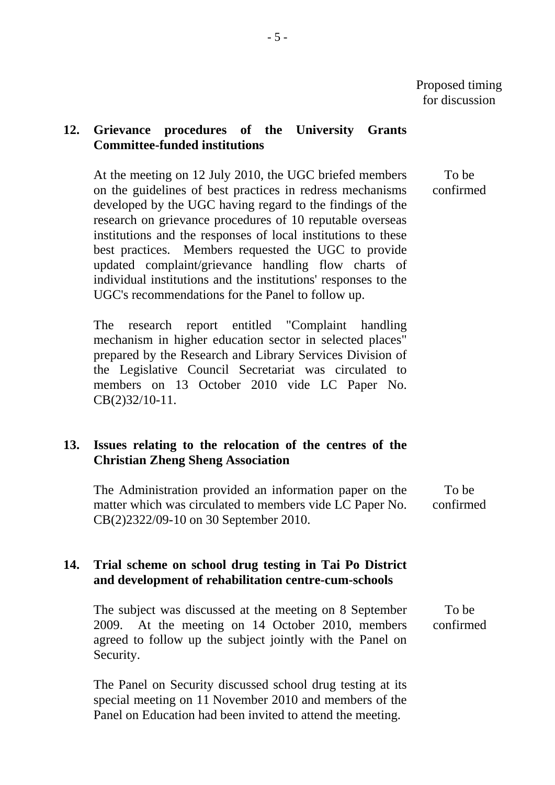# **12. Grievance procedures of the University Grants Committee-funded institutions**

At the meeting on 12 July 2010, the UGC briefed members on the guidelines of best practices in redress mechanisms developed by the UGC having regard to the findings of the research on grievance procedures of 10 reputable overseas institutions and the responses of local institutions to these best practices. Members requested the UGC to provide updated complaint/grievance handling flow charts of individual institutions and the institutions' responses to the UGC's recommendations for the Panel to follow up.

The research report entitled "Complaint handling mechanism in higher education sector in selected places" prepared by the Research and Library Services Division of the Legislative Council Secretariat was circulated to members on 13 October 2010 vide LC Paper No. CB(2)32/10-11.

# **13. Issues relating to the relocation of the centres of the Christian Zheng Sheng Association**

The Administration provided an information paper on the matter which was circulated to members vide LC Paper No. CB(2)2322/09-10 on 30 September 2010.

# **14. Trial scheme on school drug testing in Tai Po District and development of rehabilitation centre-cum-schools**

The subject was discussed at the meeting on 8 September 2009. At the meeting on 14 October 2010, members agreed to follow up the subject jointly with the Panel on Security. To be confirmed

The Panel on Security discussed school drug testing at its special meeting on 11 November 2010 and members of the Panel on Education had been invited to attend the meeting.

To be confirmed

To be confirmed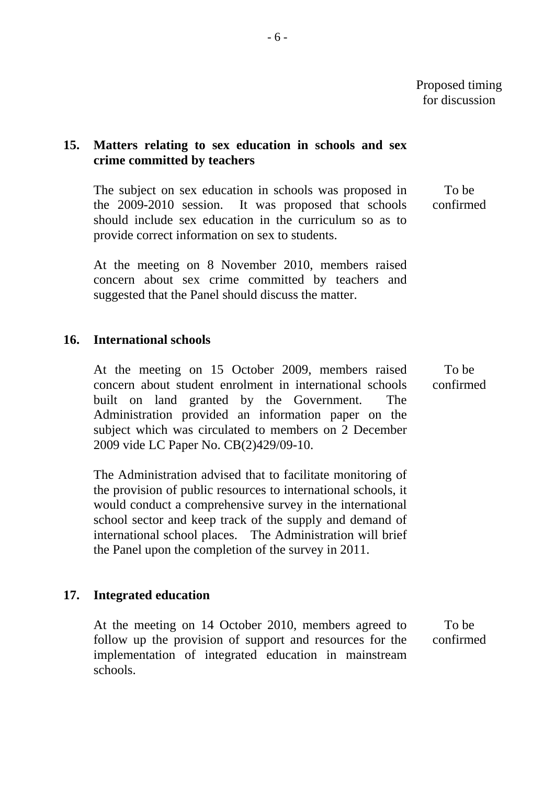## **15. Matters relating to sex education in schools and sex crime committed by teachers**

The subject on sex education in schools was proposed in the 2009-2010 session. It was proposed that schools should include sex education in the curriculum so as to provide correct information on sex to students. To be confirmed

At the meeting on 8 November 2010, members raised concern about sex crime committed by teachers and suggested that the Panel should discuss the matter.

#### **16. International schools**

At the meeting on 15 October 2009, members raised concern about student enrolment in international schools built on land granted by the Government. The Administration provided an information paper on the subject which was circulated to members on 2 December 2009 vide LC Paper No. CB(2)429/09-10. To be confirmed

The Administration advised that to facilitate monitoring of the provision of public resources to international schools, it would conduct a comprehensive survey in the international school sector and keep track of the supply and demand of international school places. The Administration will brief the Panel upon the completion of the survey in 2011.

# **17. Integrated education**

At the meeting on 14 October 2010, members agreed to follow up the provision of support and resources for the implementation of integrated education in mainstream schools. To be confirmed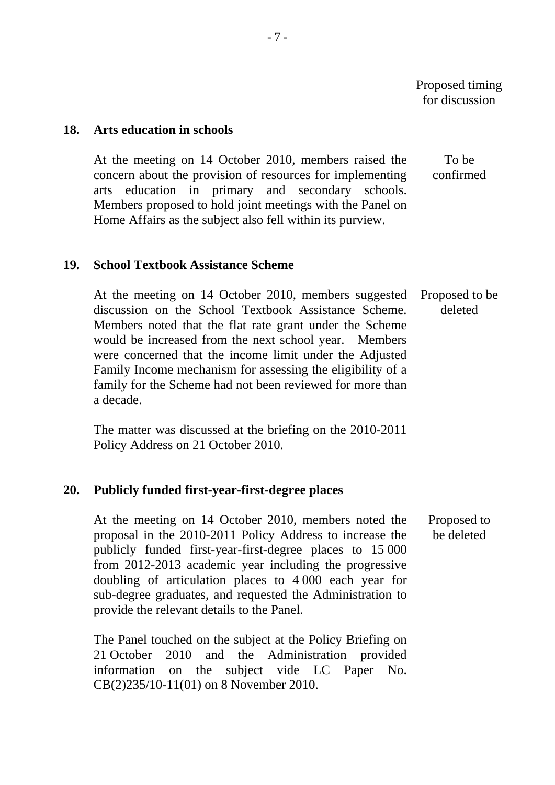To be

Proposed to be deleted

#### **18. Arts education in schools**

At the meeting on 14 October 2010, members raised the concern about the provision of resources for implementing arts education in primary and secondary schools. Members proposed to hold joint meetings with the Panel on Home Affairs as the subject also fell within its purview. confirmed

#### **19. School Textbook Assistance Scheme**

At the meeting on 14 October 2010, members suggested discussion on the School Textbook Assistance Scheme. Members noted that the flat rate grant under the Scheme would be increased from the next school year. Members were concerned that the income limit under the Adjusted Family Income mechanism for assessing the eligibility of a family for the Scheme had not been reviewed for more than a decade. Proposed to be deleted

The matter was discussed at the briefing on the 2010-2011 Policy Address on 21 October 2010.

#### **20. Publicly funded first-year-first-degree places**

At the meeting on 14 October 2010, members noted the proposal in the 2010-2011 Policy Address to increase the publicly funded first-year-first-degree places to 15 000 from 2012-2013 academic year including the progressive doubling of articulation places to 4 000 each year for sub-degree graduates, and requested the Administration to provide the relevant details to the Panel.

The Panel touched on the subject at the Policy Briefing on 21 October 2010 and the Administration provided information on the subject vide LC Paper No. CB(2)235/10-11(01) on 8 November 2010.